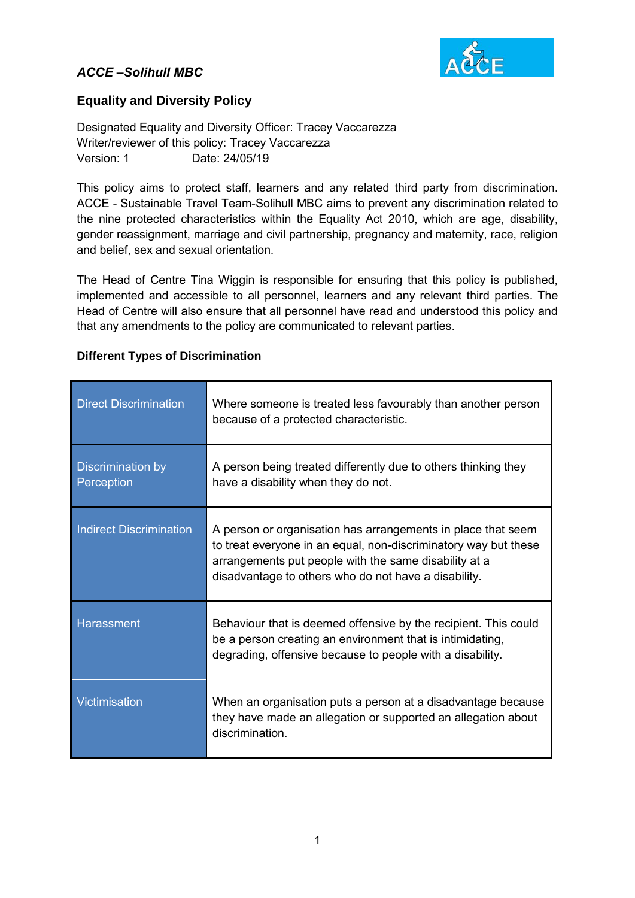

## **Equality and Diversity Policy**

Designated Equality and Diversity Officer: Tracey Vaccarezza Writer/reviewer of this policy: Tracey Vaccarezza Version: 1 Date: 24/05/19

This policy aims to protect staff, learners and any related third party from discrimination. ACCE - Sustainable Travel Team-Solihull MBC aims to prevent any discrimination related to the nine protected characteristics within the Equality Act 2010, which are age, disability, gender reassignment, marriage and civil partnership, pregnancy and maternity, race, religion and belief, sex and sexual orientation.

The Head of Centre Tina Wiggin is responsible for ensuring that this policy is published, implemented and accessible to all personnel, learners and any relevant third parties. The Head of Centre will also ensure that all personnel have read and understood this policy and that any amendments to the policy are communicated to relevant parties.

| <b>Direct Discrimination</b>           | Where someone is treated less favourably than another person<br>because of a protected characteristic.                                                                                                                                           |
|----------------------------------------|--------------------------------------------------------------------------------------------------------------------------------------------------------------------------------------------------------------------------------------------------|
| <b>Discrimination by</b><br>Perception | A person being treated differently due to others thinking they<br>have a disability when they do not.                                                                                                                                            |
| <b>Indirect Discrimination</b>         | A person or organisation has arrangements in place that seem<br>to treat everyone in an equal, non-discriminatory way but these<br>arrangements put people with the same disability at a<br>disadvantage to others who do not have a disability. |
| <b>Harassment</b>                      | Behaviour that is deemed offensive by the recipient. This could<br>be a person creating an environment that is intimidating,<br>degrading, offensive because to people with a disability.                                                        |
| Victimisation                          | When an organisation puts a person at a disadvantage because<br>they have made an allegation or supported an allegation about<br>discrimination.                                                                                                 |

#### **Different Types of Discrimination**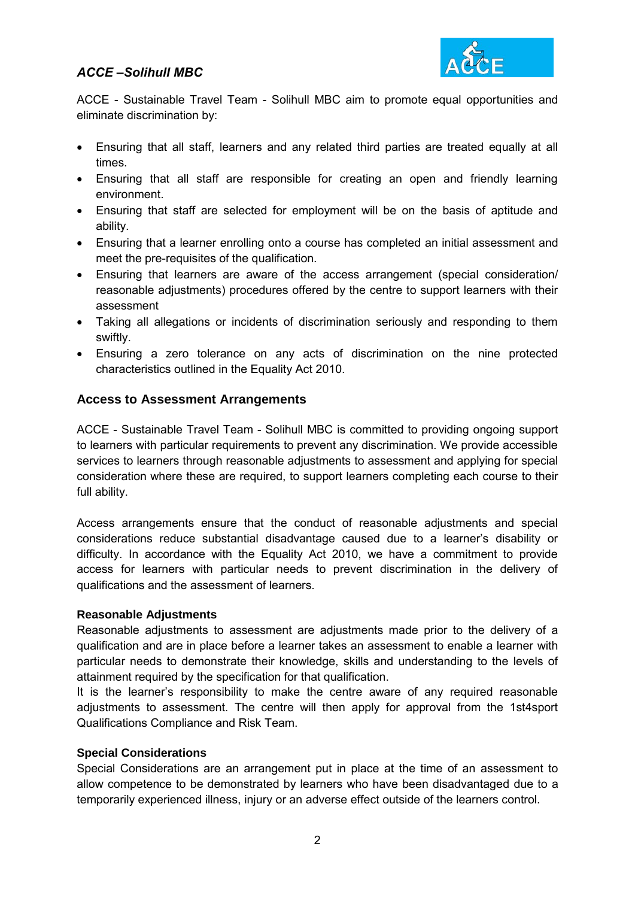

ACCE - Sustainable Travel Team - Solihull MBC aim to promote equal opportunities and eliminate discrimination by:

- Ensuring that all staff, learners and any related third parties are treated equally at all times.
- Ensuring that all staff are responsible for creating an open and friendly learning environment.
- Ensuring that staff are selected for employment will be on the basis of aptitude and ability.
- Ensuring that a learner enrolling onto a course has completed an initial assessment and meet the pre-requisites of the qualification.
- Ensuring that learners are aware of the access arrangement (special consideration/ reasonable adjustments) procedures offered by the centre to support learners with their assessment
- Taking all allegations or incidents of discrimination seriously and responding to them swiftly.
- Ensuring a zero tolerance on any acts of discrimination on the nine protected characteristics outlined in the Equality Act 2010.

## **Access to Assessment Arrangements**

ACCE - Sustainable Travel Team - Solihull MBC is committed to providing ongoing support to learners with particular requirements to prevent any discrimination. We provide accessible services to learners through reasonable adjustments to assessment and applying for special consideration where these are required, to support learners completing each course to their full ability.

Access arrangements ensure that the conduct of reasonable adjustments and special considerations reduce substantial disadvantage caused due to a learner's disability or difficulty. In accordance with the Equality Act 2010, we have a commitment to provide access for learners with particular needs to prevent discrimination in the delivery of qualifications and the assessment of learners.

#### **Reasonable Adjustments**

Reasonable adjustments to assessment are adjustments made prior to the delivery of a qualification and are in place before a learner takes an assessment to enable a learner with particular needs to demonstrate their knowledge, skills and understanding to the levels of attainment required by the specification for that qualification.

It is the learner's responsibility to make the centre aware of any required reasonable adjustments to assessment. The centre will then apply for approval from the 1st4sport Qualifications Compliance and Risk Team.

### **Special Considerations**

Special Considerations are an arrangement put in place at the time of an assessment to allow competence to be demonstrated by learners who have been disadvantaged due to a temporarily experienced illness, injury or an adverse effect outside of the learners control.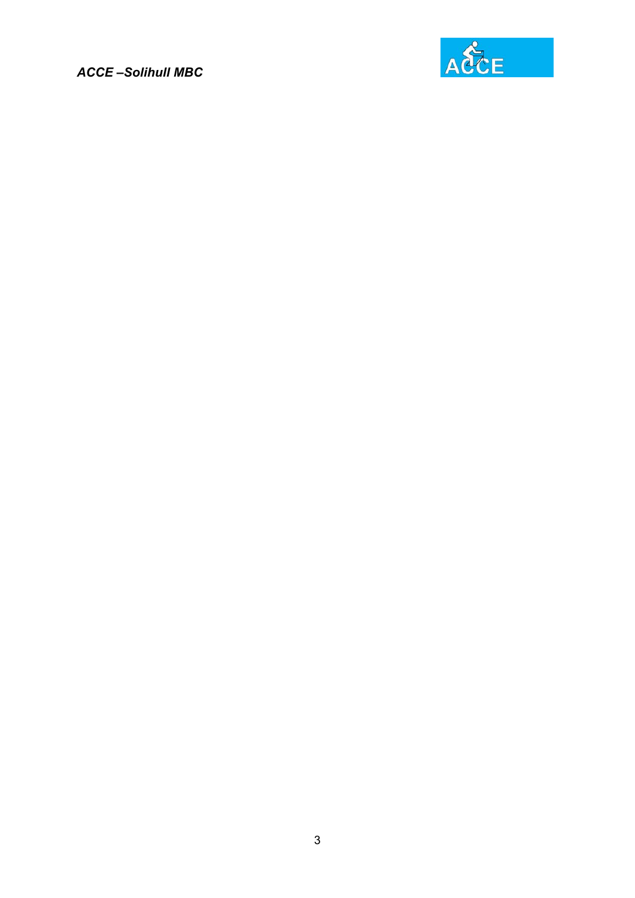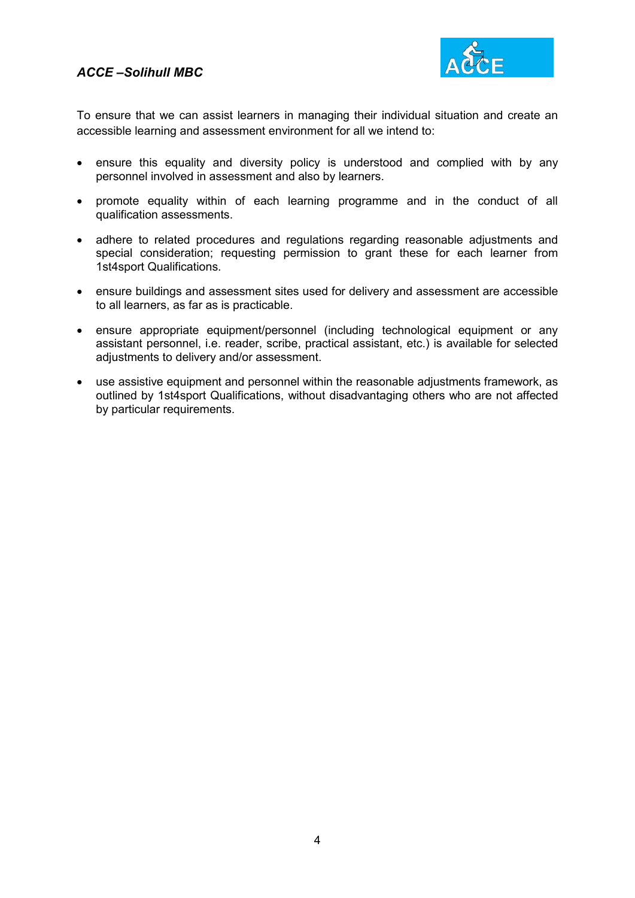

To ensure that we can assist learners in managing their individual situation and create an accessible learning and assessment environment for all we intend to:

- ensure this equality and diversity policy is understood and complied with by any personnel involved in assessment and also by learners.
- promote equality within of each learning programme and in the conduct of all qualification assessments.
- adhere to related procedures and regulations regarding reasonable adjustments and special consideration; requesting permission to grant these for each learner from 1st4sport Qualifications.
- ensure buildings and assessment sites used for delivery and assessment are accessible to all learners, as far as is practicable.
- ensure appropriate equipment/personnel (including technological equipment or any assistant personnel, i.e. reader, scribe, practical assistant, etc.) is available for selected adjustments to delivery and/or assessment.
- use assistive equipment and personnel within the reasonable adjustments framework, as outlined by 1st4sport Qualifications, without disadvantaging others who are not affected by particular requirements.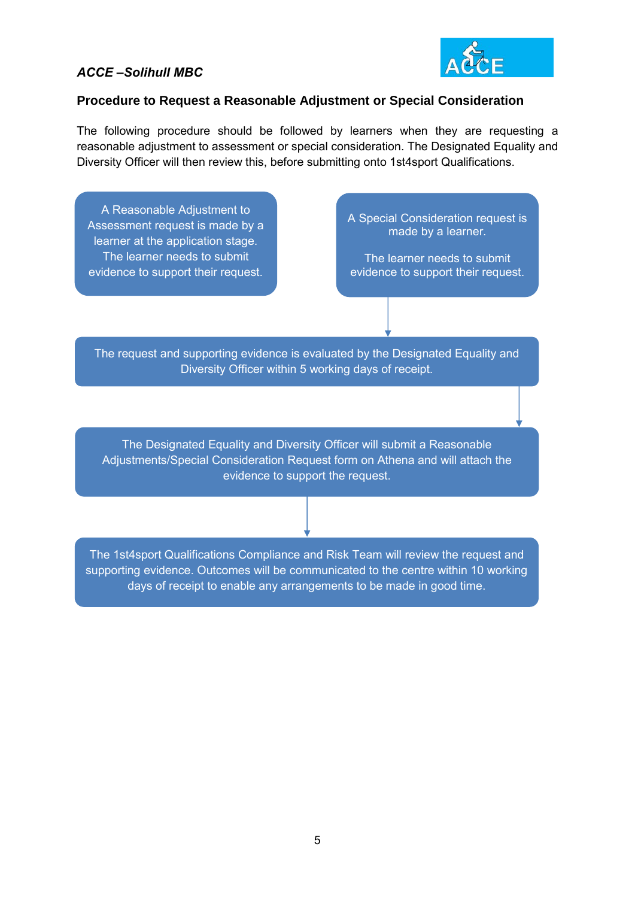

## **Procedure to Request a Reasonable Adjustment or Special Consideration**

The following procedure should be followed by learners when they are requesting a reasonable adjustment to assessment or special consideration. The Designated Equality and Diversity Officer will then review this, before submitting onto 1st4sport Qualifications.

A Reasonable Adjustment to Assessment request is made by a learner at the application stage. The learner needs to submit evidence to support their request. A Special Consideration request is made by a learner. The learner needs to submit evidence to support their request. The request and supporting evidence is evaluated by the Designated Equality and Diversity Officer within 5 working days of receipt. The Designated Equality and Diversity Officer will submit a Reasonable Adjustments/Special Consideration Request form on Athena and will attach the evidence to support the request. The 1st4sport Qualifications Compliance and Risk Team will review the request and supporting evidence. Outcomes will be communicated to the centre within 10 working days of receipt to enable any arrangements to be made in good time.